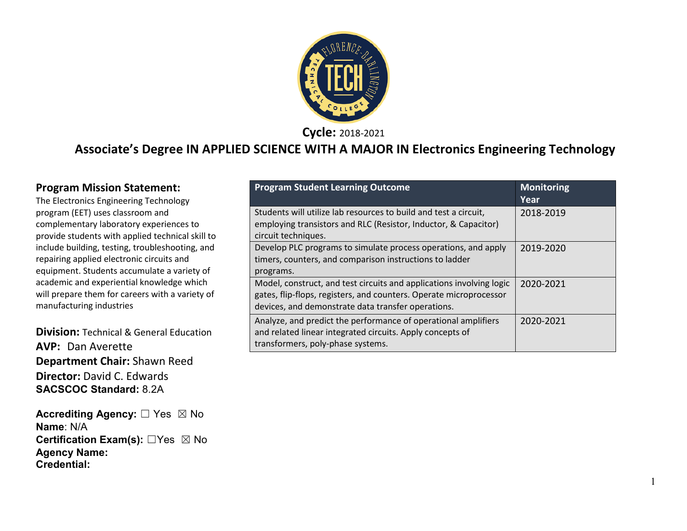

**Cycle:** 2018-2021

#### **Associate's Degree IN APPLIED SCIENCE WITH A MAJOR IN Electronics Engineering Technology**

#### **Program Mission Statement:**

The Electronics Engineering Technology program (EET) uses classroom and complementary laboratory experiences to provide students with applied technical skill to include building, testing, troubleshooting, and repairing applied electronic circuits and equipment. Students accumulate a variety of academic and experiential knowledge which will prepare them for careers with a variety of manufacturing industries

**Division:** Technical & General Education **AVP:** Dan Averette **Department Chair:** Shawn Reed **Director:** David C. Edwards **SACSCOC Standard:** 8.2A

**Accrediting Agency:** ☐ Yes ☒ No **Name**: N/A **Certification Exam(s):** ☐Yes ☒ No **Agency Name: Credential:**

| <b>Program Student Learning Outcome</b>                                                                                                                                                          | <b>Monitoring</b><br>Year |
|--------------------------------------------------------------------------------------------------------------------------------------------------------------------------------------------------|---------------------------|
| Students will utilize lab resources to build and test a circuit,<br>employing transistors and RLC (Resistor, Inductor, & Capacitor)<br>circuit techniques.                                       | 2018-2019                 |
| Develop PLC programs to simulate process operations, and apply<br>timers, counters, and comparison instructions to ladder<br>programs.                                                           | 2019-2020                 |
| Model, construct, and test circuits and applications involving logic<br>gates, flip-flops, registers, and counters. Operate microprocessor<br>devices, and demonstrate data transfer operations. | 2020-2021                 |
| Analyze, and predict the performance of operational amplifiers<br>and related linear integrated circuits. Apply concepts of<br>transformers, poly-phase systems.                                 | 2020-2021                 |

1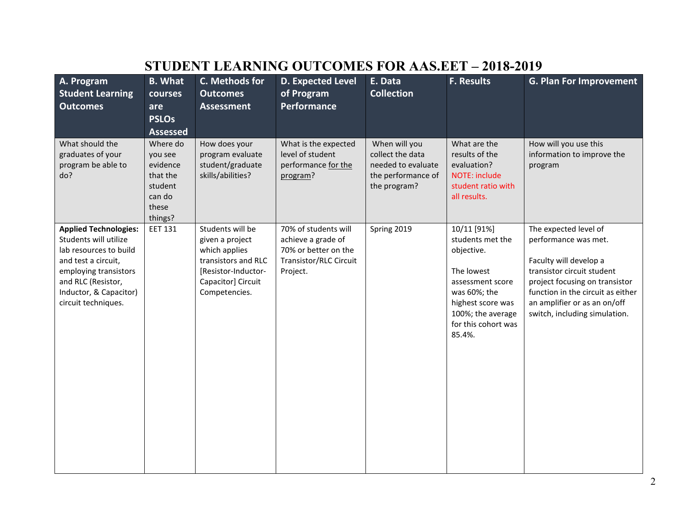# **STUDENT LEARNING OUTCOMES FOR AAS.EET – 2018-2019**

| A. Program<br><b>Student Learning</b><br><b>Outcomes</b>                                                                                                                                               | <b>B.</b> What<br>courses<br>are<br><b>PSLOs</b><br><b>Assessed</b>                  | C. Methods for<br><b>Outcomes</b><br><b>Assessment</b>                                                                                    | <b>D. Expected Level</b><br>of Program<br><b>Performance</b>                                             | E. Data<br><b>Collection</b>                                                                  | <b>F. Results</b>                                                                                                                                                          | <b>G. Plan For Improvement</b>                                                                                                                                                                                                                |
|--------------------------------------------------------------------------------------------------------------------------------------------------------------------------------------------------------|--------------------------------------------------------------------------------------|-------------------------------------------------------------------------------------------------------------------------------------------|----------------------------------------------------------------------------------------------------------|-----------------------------------------------------------------------------------------------|----------------------------------------------------------------------------------------------------------------------------------------------------------------------------|-----------------------------------------------------------------------------------------------------------------------------------------------------------------------------------------------------------------------------------------------|
| What should the<br>graduates of your<br>program be able to<br>do?                                                                                                                                      | Where do<br>you see<br>evidence<br>that the<br>student<br>can do<br>these<br>things? | How does your<br>program evaluate<br>student/graduate<br>skills/abilities?                                                                | What is the expected<br>level of student<br>performance for the<br>program?                              | When will you<br>collect the data<br>needed to evaluate<br>the performance of<br>the program? | What are the<br>results of the<br>evaluation?<br><b>NOTE: include</b><br>student ratio with<br>all results.                                                                | How will you use this<br>information to improve the<br>program                                                                                                                                                                                |
| <b>Applied Technologies:</b><br>Students will utilize<br>lab resources to build<br>and test a circuit,<br>employing transistors<br>and RLC (Resistor,<br>Inductor, & Capacitor)<br>circuit techniques. | <b>EET 131</b>                                                                       | Students will be<br>given a project<br>which applies<br>transistors and RLC<br>[Resistor-Inductor-<br>Capacitor] Circuit<br>Competencies. | 70% of students will<br>achieve a grade of<br>70% or better on the<br>Transistor/RLC Circuit<br>Project. | Spring 2019                                                                                   | 10/11 [91%]<br>students met the<br>objective.<br>The lowest<br>assessment score<br>was 60%; the<br>highest score was<br>100%; the average<br>for this cohort was<br>85.4%. | The expected level of<br>performance was met.<br>Faculty will develop a<br>transistor circuit student<br>project focusing on transistor<br>function in the circuit as either<br>an amplifier or as an on/off<br>switch, including simulation. |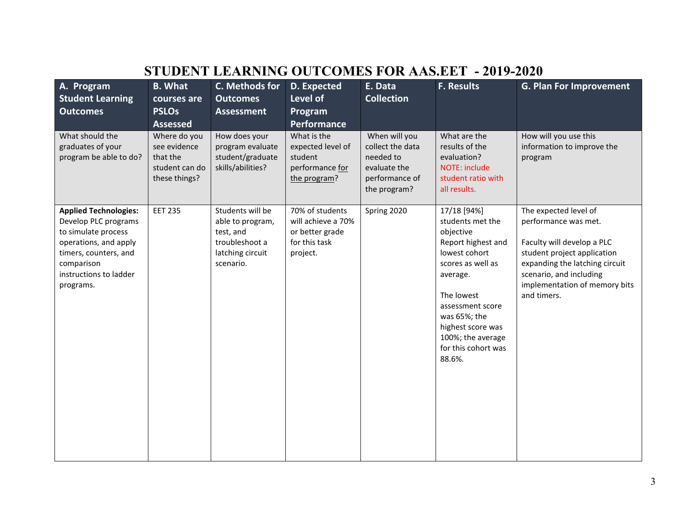|                                                                                                                                                                                    |                                                                             |                                                                                                      | <u>OUTUOID TURIND</u>                                                                 |                                                                                                  |                                                                                                                                                                                                                                                   |                                                                                                                                                                                                                         |
|------------------------------------------------------------------------------------------------------------------------------------------------------------------------------------|-----------------------------------------------------------------------------|------------------------------------------------------------------------------------------------------|---------------------------------------------------------------------------------------|--------------------------------------------------------------------------------------------------|---------------------------------------------------------------------------------------------------------------------------------------------------------------------------------------------------------------------------------------------------|-------------------------------------------------------------------------------------------------------------------------------------------------------------------------------------------------------------------------|
| A. Program<br><b>Student Learning</b><br><b>Outcomes</b>                                                                                                                           | <b>B.</b> What<br>courses are<br><b>PSLOs</b><br><b>Assessed</b>            | C. Methods for<br><b>Outcomes</b><br><b>Assessment</b>                                               | D. Expected<br>Level of<br>Program<br>Performance                                     | E. Data<br><b>Collection</b>                                                                     | <b>F. Results</b>                                                                                                                                                                                                                                 | <b>G. Plan For Improvement</b>                                                                                                                                                                                          |
| What should the<br>graduates of your<br>program be able to do?                                                                                                                     | Where do you<br>see evidence<br>that the<br>student can do<br>these things? | How does your<br>program evaluate<br>student/graduate<br>skills/abilities?                           | What is the<br>expected level of<br>student<br>performance for<br>the program?        | When will you<br>collect the data<br>needed to<br>evaluate the<br>performance of<br>the program? | What are the<br>results of the<br>evaluation?<br>NOTE: include<br>student ratio with<br>all results.                                                                                                                                              | How will you use this<br>information to improve the<br>program                                                                                                                                                          |
| <b>Applied Technologies:</b><br>Develop PLC programs<br>to simulate process<br>operations, and apply<br>timers, counters, and<br>comparison<br>instructions to ladder<br>programs. | <b>EET 235</b>                                                              | Students will be<br>able to program,<br>test, and<br>troubleshoot a<br>latching circuit<br>scenario. | 70% of students<br>will achieve a 70%<br>or better grade<br>for this task<br>project. | Spring 2020                                                                                      | 17/18 [94%]<br>students met the<br>objective<br>Report highest and<br>lowest cohort<br>scores as well as<br>average.<br>The lowest<br>assessment score<br>was 65%; the<br>highest score was<br>100%; the average<br>for this cohort was<br>88.6%. | The expected level of<br>performance was met.<br>Faculty will develop a PLC<br>student project application<br>expanding the latching circuit<br>scenario, and including<br>implementation of memory bits<br>and timers. |

# **STUDENT LEARNING OUTCOMES FOR AAS.EET - 2019-2020**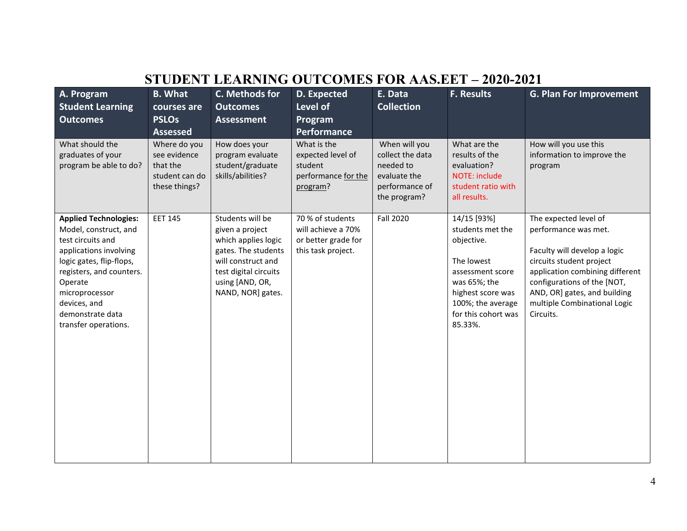|                                                                                                                                                                                                                                                       |                                                                             | STUDENT LEARNING OUTCOMES FOR AAS.EET – 2020-2021                                                                                                                        |                                                                                     |                                                                                                  |                                                                                                                                                                             |                                                                                                                                                                                                                                                          |
|-------------------------------------------------------------------------------------------------------------------------------------------------------------------------------------------------------------------------------------------------------|-----------------------------------------------------------------------------|--------------------------------------------------------------------------------------------------------------------------------------------------------------------------|-------------------------------------------------------------------------------------|--------------------------------------------------------------------------------------------------|-----------------------------------------------------------------------------------------------------------------------------------------------------------------------------|----------------------------------------------------------------------------------------------------------------------------------------------------------------------------------------------------------------------------------------------------------|
| A. Program<br><b>Student Learning</b><br><b>Outcomes</b>                                                                                                                                                                                              | <b>B.</b> What<br>courses are<br><b>PSLOs</b><br><b>Assessed</b>            | C. Methods for<br><b>Outcomes</b><br><b>Assessment</b>                                                                                                                   | D. Expected<br>Level of<br>Program<br>Performance                                   | E. Data<br><b>Collection</b>                                                                     | <b>F. Results</b>                                                                                                                                                           | <b>G. Plan For Improvement</b>                                                                                                                                                                                                                           |
| What should the<br>graduates of your<br>program be able to do?                                                                                                                                                                                        | Where do you<br>see evidence<br>that the<br>student can do<br>these things? | How does your<br>program evaluate<br>student/graduate<br>skills/abilities?                                                                                               | What is the<br>expected level of<br>student<br>performance for the<br>program?      | When will you<br>collect the data<br>needed to<br>evaluate the<br>performance of<br>the program? | What are the<br>results of the<br>evaluation?<br>NOTE: include<br>student ratio with<br>all results.                                                                        | How will you use this<br>information to improve the<br>program                                                                                                                                                                                           |
| <b>Applied Technologies:</b><br>Model, construct, and<br>test circuits and<br>applications involving<br>logic gates, flip-flops,<br>registers, and counters.<br>Operate<br>microprocessor<br>devices, and<br>demonstrate data<br>transfer operations. | <b>EET 145</b>                                                              | Students will be<br>given a project<br>which applies logic<br>gates. The students<br>will construct and<br>test digital circuits<br>using [AND, OR,<br>NAND, NOR] gates. | 70 % of students<br>will achieve a 70%<br>or better grade for<br>this task project. | <b>Fall 2020</b>                                                                                 | 14/15 [93%]<br>students met the<br>objective.<br>The lowest<br>assessment score<br>was 65%; the<br>highest score was<br>100%; the average<br>for this cohort was<br>85.33%. | The expected level of<br>performance was met.<br>Faculty will develop a logic<br>circuits student project<br>application combining different<br>configurations of the [NOT,<br>AND, OR] gates, and building<br>multiple Combinational Logic<br>Circuits. |

# **STUDENT LEARNING OUTCOMES FOR AAS.EET – 2020-2021**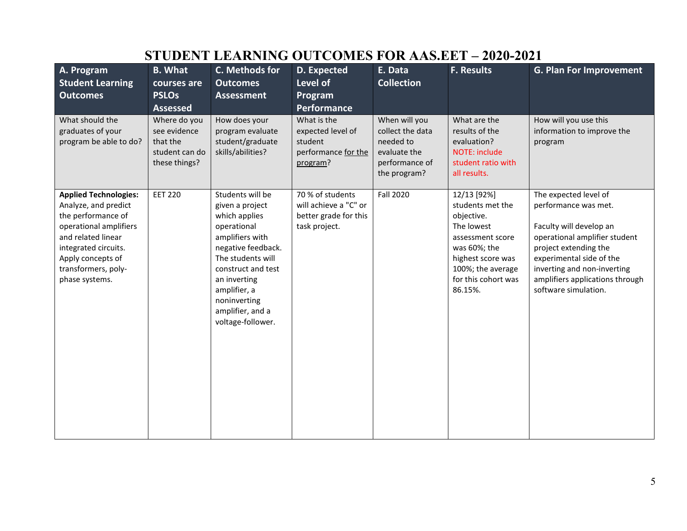| A. Program<br><b>Student Learning</b><br><b>Outcomes</b>                                                                                                                                                         | <b>B.</b> What<br>courses are<br><b>PSLOs</b><br><b>Assessed</b>            | C. Methods for<br><b>Outcomes</b><br><b>Assessment</b>                                                                                                                                                                                           | D. Expected<br>Level of<br>Program<br>Performance                                   | E. Data<br><b>Collection</b>                                                                     | <b>F. Results</b>                                                                                                                                                           | <b>G. Plan For Improvement</b>                                                                                                                                                                                                                           |
|------------------------------------------------------------------------------------------------------------------------------------------------------------------------------------------------------------------|-----------------------------------------------------------------------------|--------------------------------------------------------------------------------------------------------------------------------------------------------------------------------------------------------------------------------------------------|-------------------------------------------------------------------------------------|--------------------------------------------------------------------------------------------------|-----------------------------------------------------------------------------------------------------------------------------------------------------------------------------|----------------------------------------------------------------------------------------------------------------------------------------------------------------------------------------------------------------------------------------------------------|
| What should the<br>graduates of your<br>program be able to do?                                                                                                                                                   | Where do you<br>see evidence<br>that the<br>student can do<br>these things? | How does your<br>program evaluate<br>student/graduate<br>skills/abilities?                                                                                                                                                                       | What is the<br>expected level of<br>student<br>performance for the<br>program?      | When will you<br>collect the data<br>needed to<br>evaluate the<br>performance of<br>the program? | What are the<br>results of the<br>evaluation?<br>NOTE: include<br>student ratio with<br>all results.                                                                        | How will you use this<br>information to improve the<br>program                                                                                                                                                                                           |
| <b>Applied Technologies:</b><br>Analyze, and predict<br>the performance of<br>operational amplifiers<br>and related linear<br>integrated circuits.<br>Apply concepts of<br>transformers, poly-<br>phase systems. | <b>EET 220</b>                                                              | Students will be<br>given a project<br>which applies<br>operational<br>amplifiers with<br>negative feedback.<br>The students will<br>construct and test<br>an inverting<br>amplifier, a<br>noninverting<br>amplifier, and a<br>voltage-follower. | 70 % of students<br>will achieve a "C" or<br>better grade for this<br>task project. | <b>Fall 2020</b>                                                                                 | 12/13 [92%]<br>students met the<br>objective.<br>The lowest<br>assessment score<br>was 60%; the<br>highest score was<br>100%; the average<br>for this cohort was<br>86.15%. | The expected level of<br>performance was met.<br>Faculty will develop an<br>operational amplifier student<br>project extending the<br>experimental side of the<br>inverting and non-inverting<br>amplifiers applications through<br>software simulation. |

# **STUDENT LEARNING OUTCOMES FOR AAS.EET – 2020-2021**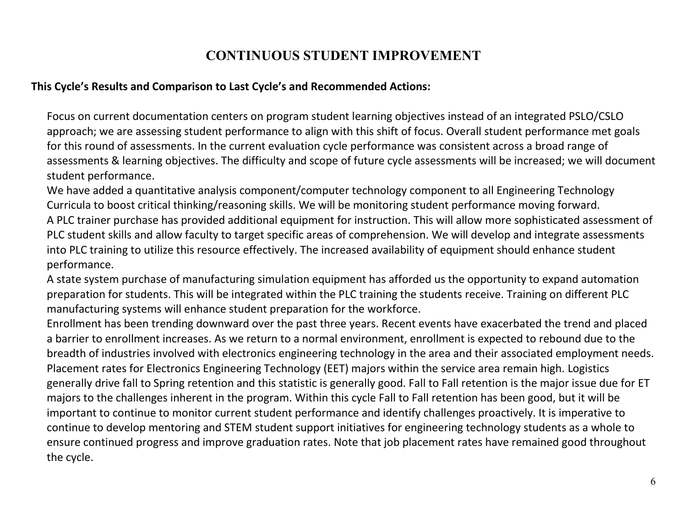### **CONTINUOUS STUDENT IMPROVEMENT**

#### **This Cycle's Results and Comparison to Last Cycle's and Recommended Actions:**

Focus on current documentation centers on program student learning objectives instead of an integrated PSLO/CSLO approach; we are assessing student performance to align with this shift of focus. Overall student performance met goals for this round of assessments. In the current evaluation cycle performance was consistent across a broad range of assessments & learning objectives. The difficulty and scope of future cycle assessments will be increased; we will document student performance.

We have added a quantitative analysis component/computer technology component to all Engineering Technology Curricula to boost critical thinking/reasoning skills. We will be monitoring student performance moving forward. A PLC trainer purchase has provided additional equipment for instruction. This will allow more sophisticated assessment of PLC student skills and allow faculty to target specific areas of comprehension. We will develop and integrate assessments into PLC training to utilize this resource effectively. The increased availability of equipment should enhance student performance.

A state system purchase of manufacturing simulation equipment has afforded us the opportunity to expand automation preparation for students. This will be integrated within the PLC training the students receive. Training on different PLC manufacturing systems will enhance student preparation for the workforce.

Enrollment has been trending downward over the past three years. Recent events have exacerbated the trend and placed a barrier to enrollment increases. As we return to a normal environment, enrollment is expected to rebound due to the breadth of industries involved with electronics engineering technology in the area and their associated employment needs. Placement rates for Electronics Engineering Technology (EET) majors within the service area remain high. Logistics generally drive fall to Spring retention and this statistic is generally good. Fall to Fall retention is the major issue due for ET majors to the challenges inherent in the program. Within this cycle Fall to Fall retention has been good, but it will be important to continue to monitor current student performance and identify challenges proactively. It is imperative to continue to develop mentoring and STEM student support initiatives for engineering technology students as a whole to ensure continued progress and improve graduation rates. Note that job placement rates have remained good throughout the cycle.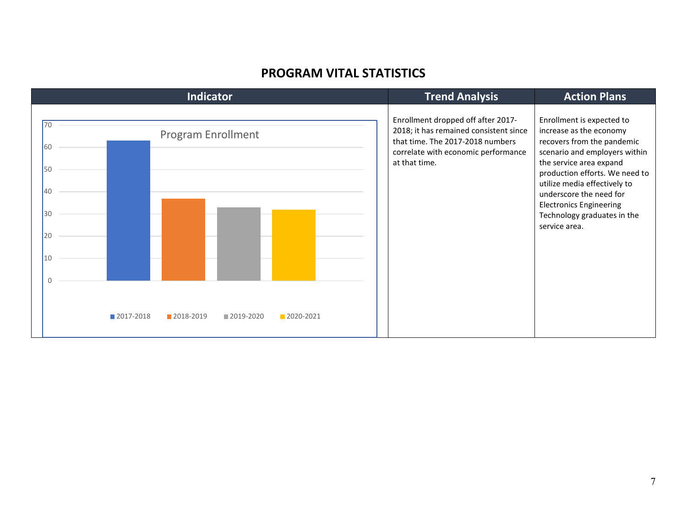#### **PROGRAM VITAL STATISTICS**

| <b>Indicator</b>                                                                                                             | <b>Trend Analysis</b>                                                                                                                                                    | <b>Action Plans</b>                                                                                                                                                                                                                                                                                                           |
|------------------------------------------------------------------------------------------------------------------------------|--------------------------------------------------------------------------------------------------------------------------------------------------------------------------|-------------------------------------------------------------------------------------------------------------------------------------------------------------------------------------------------------------------------------------------------------------------------------------------------------------------------------|
| 70<br><b>Program Enrollment</b><br>60<br>50<br>40<br>30<br>20<br>10<br>0<br>2017-2018<br>2018-2019<br>2019-2020<br>2020-2021 | Enrollment dropped off after 2017-<br>2018; it has remained consistent since<br>that time. The 2017-2018 numbers<br>correlate with economic performance<br>at that time. | Enrollment is expected to<br>increase as the economy<br>recovers from the pandemic<br>scenario and employers within<br>the service area expand<br>production efforts. We need to<br>utilize media effectively to<br>underscore the need for<br><b>Electronics Engineering</b><br>Technology graduates in the<br>service area. |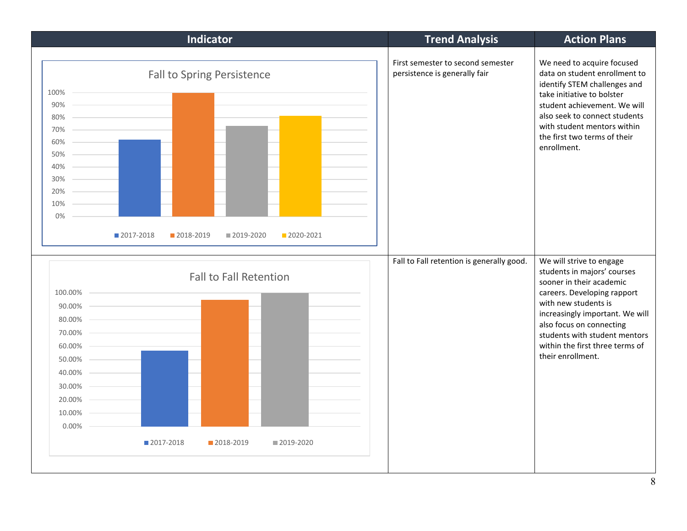| Fall to Spring Persistence<br>$100\%$ –<br>$90\%$<br>$80\%$<br>$70\%$ –<br>60%<br>50%<br>40% -<br>$30\%$ –<br>$20\%$ –<br>$10\% -$<br>0%<br>2017-2018<br>2018-2019<br>2020-2021<br>■ 2019-2020<br><b>Fall to Fall Retention</b><br>100.00% –<br>$90.00\%$<br>$80.00\%$<br>$70.00\%$<br>$60.00\%$ –<br>50.00%<br>$40.00\%$<br>$30.00\%$<br>20.00%<br>$10.00\%$<br>$0.00\%$ –<br>■ 2017-2018<br>2018-2019<br>■ 2019-2020 | First semester to second semester<br>persistence is generally fair<br>Fall to Fall retention is generally good. | We need to acquire focused<br>data on student enrollment to<br>identify STEM challenges and<br>take initiative to bolster<br>student achievement. We will<br>also seek to connect students<br>with student mentors within<br>the first two terms of their<br>enrollment.<br>We will strive to engage<br>students in majors' courses<br>sooner in their academic<br>careers. Developing rapport<br>with new students is<br>increasingly important. We will<br>also focus on connecting<br>students with student mentors<br>within the first three terms of<br>their enrollment. |
|------------------------------------------------------------------------------------------------------------------------------------------------------------------------------------------------------------------------------------------------------------------------------------------------------------------------------------------------------------------------------------------------------------------------|-----------------------------------------------------------------------------------------------------------------|--------------------------------------------------------------------------------------------------------------------------------------------------------------------------------------------------------------------------------------------------------------------------------------------------------------------------------------------------------------------------------------------------------------------------------------------------------------------------------------------------------------------------------------------------------------------------------|